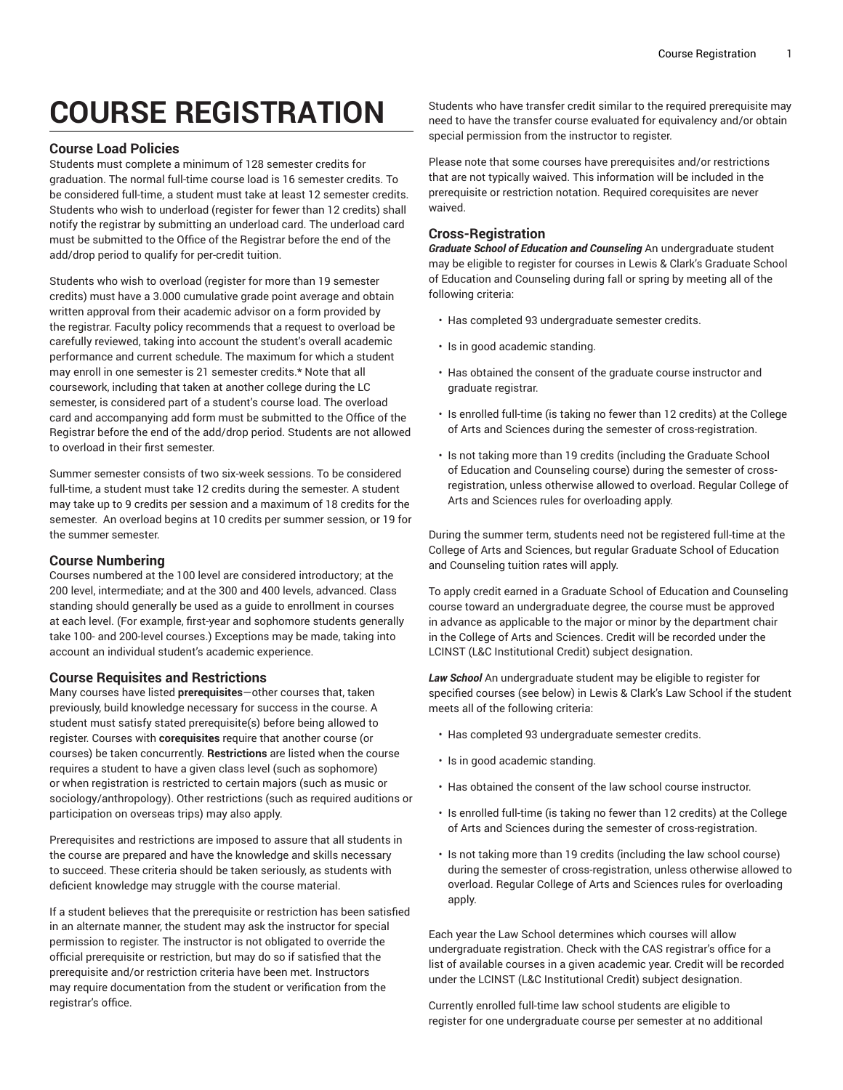# **COURSE REGISTRATION**

#### **Course Load Policies**

Students must complete a minimum of 128 semester credits for graduation. The normal full-time course load is 16 semester credits. To be considered full-time, a student must take at least 12 semester credits. Students who wish to underload (register for fewer than 12 credits) shall notify the registrar by submitting an underload card. The underload card must be submitted to the Office of the Registrar before the end of the add/drop period to qualify for per-credit tuition.

Students who wish to overload (register for more than 19 semester credits) must have a 3.000 cumulative grade point average and obtain written approval from their academic advisor on a form provided by the registrar. Faculty policy recommends that a request to overload be carefully reviewed, taking into account the student's overall academic performance and current schedule. The maximum for which a student may enroll in one semester is 21 semester credits.\* Note that all coursework, including that taken at another college during the LC semester, is considered part of a student's course load. The overload card and accompanying add form must be submitted to the Office of the Registrar before the end of the add/drop period. Students are not allowed to overload in their first semester.

Summer semester consists of two six-week sessions. To be considered full-time, a student must take 12 credits during the semester. A student may take up to 9 credits per session and a maximum of 18 credits for the semester. An overload begins at 10 credits per summer session, or 19 for the summer semester.

#### **Course Numbering**

Courses numbered at the 100 level are considered introductory; at the 200 level, intermediate; and at the 300 and 400 levels, advanced. Class standing should generally be used as a guide to enrollment in courses at each level. (For example, first-year and sophomore students generally take 100- and 200-level courses.) Exceptions may be made, taking into account an individual student's academic experience.

#### **Course Requisites and Restrictions**

Many courses have listed **prerequisites**—other courses that, taken previously, build knowledge necessary for success in the course. A student must satisfy stated prerequisite(s) before being allowed to register. Courses with **corequisites** require that another course (or courses) be taken concurrently. **Restrictions** are listed when the course requires a student to have a given class level (such as sophomore) or when registration is restricted to certain majors (such as music or sociology/anthropology). Other restrictions (such as required auditions or participation on overseas trips) may also apply.

Prerequisites and restrictions are imposed to assure that all students in the course are prepared and have the knowledge and skills necessary to succeed. These criteria should be taken seriously, as students with deficient knowledge may struggle with the course material.

If a student believes that the prerequisite or restriction has been satisfied in an alternate manner, the student may ask the instructor for special permission to register. The instructor is not obligated to override the official prerequisite or restriction, but may do so if satisfied that the prerequisite and/or restriction criteria have been met. Instructors may require documentation from the student or verification from the registrar's office.

Students who have transfer credit similar to the required prerequisite may need to have the transfer course evaluated for equivalency and/or obtain special permission from the instructor to register.

Please note that some courses have prerequisites and/or restrictions that are not typically waived. This information will be included in the prerequisite or restriction notation. Required corequisites are never waived.

### **Cross-Registration**

*Graduate School of Education and Counseling* An undergraduate student may be eligible to register for courses in Lewis & Clark's Graduate School of Education and Counseling during fall or spring by meeting all of the following criteria:

- Has completed 93 undergraduate semester credits.
- Is in good academic standing.
- Has obtained the consent of the graduate course instructor and graduate registrar.
- Is enrolled full-time (is taking no fewer than 12 credits) at the College of Arts and Sciences during the semester of cross-registration.
- Is not taking more than 19 credits (including the Graduate School of Education and Counseling course) during the semester of crossregistration, unless otherwise allowed to overload. Regular College of Arts and Sciences rules for overloading apply.

During the summer term, students need not be registered full-time at the College of Arts and Sciences, but regular Graduate School of Education and Counseling tuition rates will apply.

To apply credit earned in a Graduate School of Education and Counseling course toward an undergraduate degree, the course must be approved in advance as applicable to the major or minor by the department chair in the College of Arts and Sciences. Credit will be recorded under the LCINST (L&C Institutional Credit) subject designation.

*Law School* An undergraduate student may be eligible to register for specified courses (see below) in Lewis & Clark's Law School if the student meets all of the following criteria:

- Has completed 93 undergraduate semester credits.
- Is in good academic standing.
- Has obtained the consent of the law school course instructor.
- Is enrolled full-time (is taking no fewer than 12 credits) at the College of Arts and Sciences during the semester of cross-registration.
- Is not taking more than 19 credits (including the law school course) during the semester of cross-registration, unless otherwise allowed to overload. Regular College of Arts and Sciences rules for overloading apply.

Each year the Law School determines which courses will allow undergraduate registration. Check with the CAS registrar's office for a list of available courses in a given academic year. Credit will be recorded under the LCINST (L&C Institutional Credit) subject designation.

Currently enrolled full-time law school students are eligible to register for one undergraduate course per semester at no additional